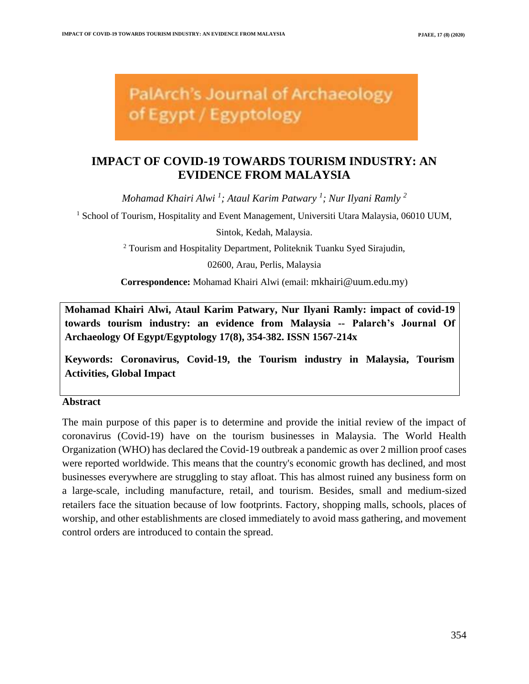**PalArch's Journal of Archaeology** of Egypt / Egyptology

# **IMPACT OF COVID-19 TOWARDS TOURISM INDUSTRY: AN EVIDENCE FROM MALAYSIA**

*Mohamad Khairi Alwi <sup>1</sup> ; Ataul Karim Patwary <sup>1</sup> ; Nur Ilyani Ramly <sup>2</sup>*

<sup>1</sup> School of Tourism, Hospitality and Event Management, Universiti Utara Malaysia, 06010 UUM,

Sintok, Kedah, Malaysia.

<sup>2</sup> Tourism and Hospitality Department, Politeknik Tuanku Syed Sirajudin,

02600, Arau, Perlis, Malaysia

**Correspondence:** Mohamad Khairi Alwi (email: mkhairi@uum.edu.my)

**Mohamad Khairi Alwi, Ataul Karim Patwary, Nur Ilyani Ramly: impact of covid-19 towards tourism industry: an evidence from Malaysia -- Palarch's Journal Of Archaeology Of Egypt/Egyptology 17(8), 354-382. ISSN 1567-214x**

**Keywords: Coronavirus, Covid-19, the Tourism industry in Malaysia, Tourism Activities, Global Impact**

### **Abstract**

The main purpose of this paper is to determine and provide the initial review of the impact of coronavirus (Covid-19) have on the tourism businesses in Malaysia. The World Health Organization (WHO) has declared the Covid-19 outbreak a pandemic as over 2 million proof cases were reported worldwide. This means that the country's economic growth has declined, and most businesses everywhere are struggling to stay afloat. This has almost ruined any business form on a large-scale, including manufacture, retail, and tourism. Besides, small and medium-sized retailers face the situation because of low footprints. Factory, shopping malls, schools, places of worship, and other establishments are closed immediately to avoid mass gathering, and movement control orders are introduced to contain the spread.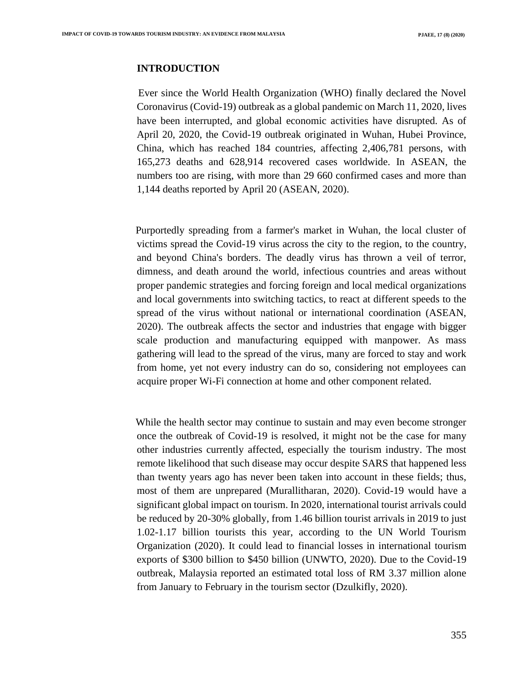## **INTRODUCTION**

Ever since the World Health Organization (WHO) finally declared the Novel Coronavirus (Covid-19) outbreak as a global pandemic on March 11, 2020, lives have been interrupted, and global economic activities have disrupted. As of April 20, 2020, the Covid-19 outbreak originated in Wuhan, Hubei Province, China, which has reached 184 countries, affecting 2,406,781 persons, with 165,273 deaths and 628,914 recovered cases worldwide. In ASEAN, the numbers too are rising, with more than 29 660 confirmed cases and more than 1,144 deaths reported by April 20 (ASEAN, 2020).

Purportedly spreading from a farmer's market in Wuhan, the local cluster of victims spread the Covid-19 virus across the city to the region, to the country, and beyond China's borders. The deadly virus has thrown a veil of terror, dimness, and death around the world, infectious countries and areas without proper pandemic strategies and forcing foreign and local medical organizations and local governments into switching tactics, to react at different speeds to the spread of the virus without national or international coordination (ASEAN, 2020). The outbreak affects the sector and industries that engage with bigger scale production and manufacturing equipped with manpower. As mass gathering will lead to the spread of the virus, many are forced to stay and work from home, yet not every industry can do so, considering not employees can acquire proper Wi-Fi connection at home and other component related.

While the health sector may continue to sustain and may even become stronger once the outbreak of Covid-19 is resolved, it might not be the case for many other industries currently affected, especially the tourism industry. The most remote likelihood that such disease may occur despite SARS that happened less than twenty years ago has never been taken into account in these fields; thus, most of them are unprepared (Murallitharan, 2020). Covid-19 would have a significant global impact on tourism. In 2020, international tourist arrivals could be reduced by 20-30% globally, from 1.46 billion tourist arrivals in 2019 to just 1.02-1.17 billion tourists this year, according to the UN World Tourism Organization (2020). It could lead to financial losses in international tourism exports of \$300 billion to \$450 billion (UNWTO, 2020). Due to the Covid-19 outbreak, Malaysia reported an estimated total loss of RM 3.37 million alone from January to February in the tourism sector (Dzulkifly, 2020).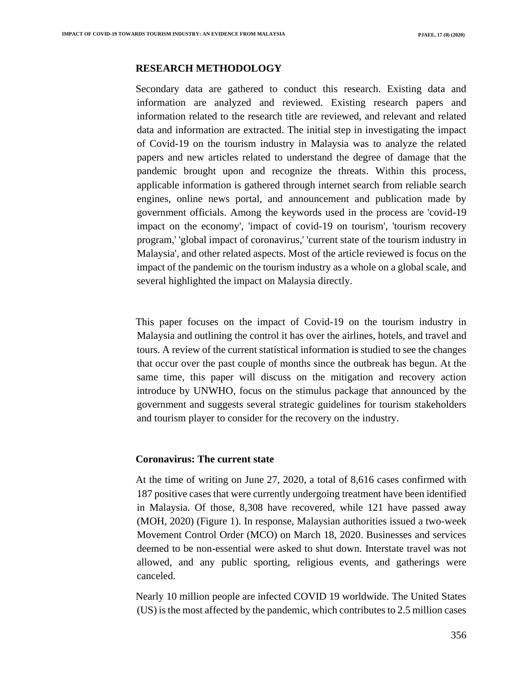## **RESEARCH METHODOLOGY**

Secondary data are gathered to conduct this research. Existing data and information are analyzed and reviewed. Existing research papers and information related to the research title are reviewed, and relevant and related data and information are extracted. The initial step in investigating the impact of Covid-19 on the tourism industry in Malaysia was to analyze the related papers and new articles related to understand the degree of damage that the pandemic brought upon and recognize the threats. Within this process, applicable information is gathered through internet search from reliable search engines, online news portal, and announcement and publication made by government officials. Among the keywords used in the process are 'covid-19 impact on the economy', 'impact of covid-19 on tourism', 'tourism recovery program,' 'global impact of coronavirus,' 'current state of the tourism industry in Malaysia', and other related aspects. Most of the article reviewed is focus on the impact of the pandemic on the tourism industry as a whole on a global scale, and several highlighted the impact on Malaysia directly.

This paper focuses on the impact of Covid-19 on the tourism industry in Malaysia and outlining the control it has over the airlines, hotels, and travel and tours. A review of the current statistical information is studied to see the changes that occur over the past couple of months since the outbreak has begun. At the same time, this paper will discuss on the mitigation and recovery action introduce by UNWHO, focus on the stimulus package that announced by the government and suggests several strategic guidelines for tourism stakeholders and tourism player to consider for the recovery on the industry.

#### **Coronavirus: The current state**

At the time of writing on June 27, 2020, a total of 8,616 cases confirmed with 187 positive cases that were currently undergoing treatment have been identified in Malaysia. Of those, 8,308 have recovered, while 121 have passed away (MOH, 2020) (Figure 1). In response, Malaysian authorities issued a two-week Movement Control Order (MCO) on March 18, 2020. Businesses and services deemed to be non-essential were asked to shut down. Interstate travel was not allowed, and any public sporting, religious events, and gatherings were canceled.

Nearly 10 million people are infected COVID 19 worldwide. The United States (US) is the most affected by the pandemic, which contributes to 2.5 million cases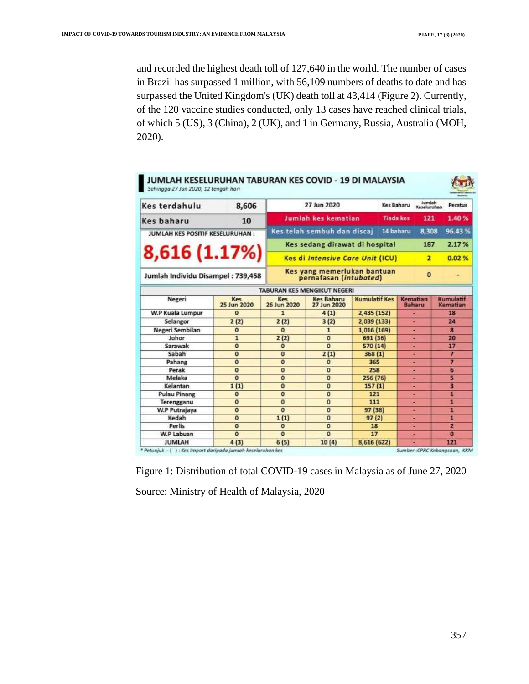and recorded the highest death toll of 127,640 in the world. The number of cases in Brazil has surpassed 1 million, with 56,109 numbers of deaths to date and has surpassed the United Kingdom's (UK) death toll at 43,414 (Figure 2). Currently, of the 120 vaccine studies conducted, only 13 cases have reached clinical trials, of which 5 (US), 3 (China), 2 (UK), and 1 in Germany, Russia, Australia (MOH, 2020).

| JUMLAH KESELURUHAN TABURAN KES COVID - 19 DI MALAYSIA<br>Sehingga 27 Jun 2020, 12 tengah hari |                    |                                          |                                                       |                      |                  |                           |                         |
|-----------------------------------------------------------------------------------------------|--------------------|------------------------------------------|-------------------------------------------------------|----------------------|------------------|---------------------------|-------------------------|
| Kes terdahulu                                                                                 | 8,606              |                                          | 27 Jun 2020                                           |                      | Kes Baharu       | Jumlah<br>Keseluruhan     | Peratus                 |
| <b>Kes baharu</b>                                                                             | 10                 | Jumlah kes kematian                      |                                                       |                      | <b>Tiada kes</b> | 121                       | 1.40%                   |
| JUMLAH KES POSITIF KESELURUHAN:                                                               |                    | Kes telah sembuh dan discaj<br>14 baharu |                                                       |                      |                  | 96.43%                    |                         |
| 8,616 (1.17%)                                                                                 |                    |                                          | Kes sedang dirawat di hospital                        |                      |                  | 187                       | 2.17%                   |
|                                                                                               |                    |                                          | <b>Kes di Intensive Care Unit (ICU)</b>               |                      |                  | $\mathbf{z}$              | 0.02%                   |
| Jumlah Individu Disampel: 739,458                                                             |                    |                                          | Kes yang memerlukan bantuan<br>pernafasan (intubated) |                      |                  | $\Omega$                  |                         |
|                                                                                               |                    |                                          | TABURAN KES MENGIKUT NEGERI                           |                      |                  |                           |                         |
| Negeri                                                                                        | Kes<br>25 Jun 2020 | Kes<br>26 Jun 2020                       | <b>Kes Baharu</b><br>27 Jun 2020                      | <b>Kumulatif Kes</b> |                  | Kematian<br><b>Baharu</b> | Kumulatif<br>Kematian   |
| W.P Kuala Lumpur                                                                              | $\Omega$           | $\mathbf{1}$                             | 4(1)                                                  | 2,435 (152)          |                  |                           | 18                      |
| Selangor                                                                                      | 2(2)               | 2(2)                                     | 3(2)                                                  | 2,039 (133)          |                  |                           | 24                      |
| Negeri Sembilan                                                                               | $\bf{0}$           | $\bf{0}$                                 | $\mathbf{1}$                                          | 1,016 (169)          |                  |                           | $\overline{\mathbf{g}}$ |
| Johor                                                                                         | $\mathbf{1}$       | 2(2)                                     | $\sigma$                                              | 691 (36)             |                  |                           | 20                      |
| Sarawak                                                                                       | $\Omega$           | $\mathbf{0}$                             | $\bf{0}$                                              | 570 (14)             |                  | ۰                         | 17                      |
| Sabah                                                                                         | $\overline{0}$     | $\theta$                                 | 2(1)                                                  | 368(1)               |                  | ۰                         | 7                       |
| Pahang                                                                                        | $\overline{0}$     | $\overline{0}$                           | $\bf{0}$                                              | 365                  |                  | ٠                         | 7                       |
| Perak                                                                                         | $\overline{0}$     | $\overline{0}$                           | $\bf{0}$                                              | 258                  |                  | ۰                         | 6                       |
| Melaka                                                                                        | $\Omega$           | $\mathbf{o}$                             | $\mathbf{0}$                                          | 256(76)              |                  | ٠                         | 5                       |
| Kelantan                                                                                      | 1(1)               | $\bf{0}$                                 | $\bf{0}$                                              | 157(1)               |                  |                           | 3                       |
| <b>Pulau Pinang</b>                                                                           | $\bf{0}$           | $\bf{0}$                                 | $\bf{0}$                                              | 121                  |                  |                           | 1                       |
| Terengganu                                                                                    | $\overline{0}$     | $\bf{0}$                                 | $\overline{0}$                                        | 111                  |                  |                           | п                       |
| W.P Putrajaya                                                                                 | $\overline{0}$     | $\overline{0}$                           | $\overline{0}$                                        | 97 (38)              |                  | ٠                         | π                       |
| Kedah                                                                                         | $\overline{0}$     | 1(1)                                     | $\overline{0}$                                        | 97(2)                |                  |                           | П                       |
| Perlis                                                                                        | $\bf{0}$           | $\bf{0}$                                 | $\circ$                                               | 18                   |                  | ۰                         | $\overline{\mathbf{z}}$ |
| W.P Labuan                                                                                    | $\overline{0}$     | $\bf{0}$                                 | $\overline{0}$                                        | 17                   |                  | ۰                         | $\bullet$               |
| <b>JUMLAH</b>                                                                                 | 4(3)               | 6(5)                                     | 10(4)                                                 | 8,616 (622)          |                  |                           | 121                     |

Figure 1: Distribution of total COVID-19 cases in Malaysia as of June 27, 2020 Source: Ministry of Health of Malaysia, 2020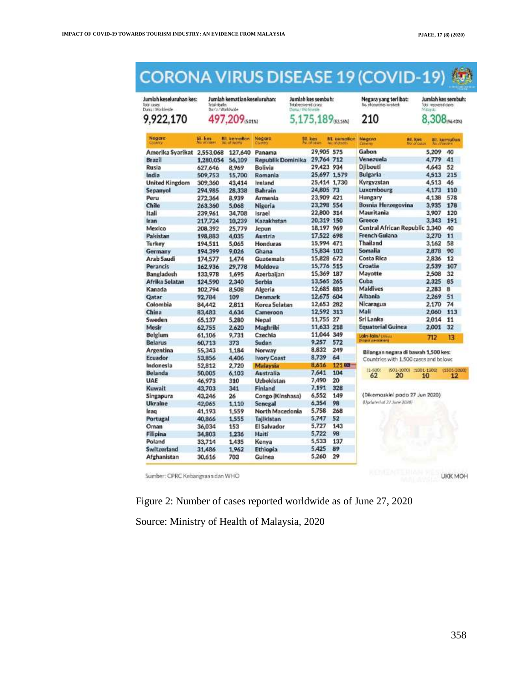#### **CORONA VIRUS DISEASE 19 (COVID-19)** 行

Jumlah keseluruhan kes:<br>Iose cases<br>Duria / Piorlande 9,922,170

Jumlah kematian keseluruhan:<br>Irakdeeta<br>Daria/Woddwide 497,209<sub>501%</sub>

Jumlah kes sembuh:<br>Tatalasswert ores<br>Dana/Weissate 5,175,189<sub>63,16%</sub> Negara yang terlibat: 210

Jumlah kes sembuh:<br>Tos lecolestones 8,308 PREASTER

| Negara<br>Country          | bit. kins.<br>of rates | <b>BIL</b> kemallan<br>No at terms | <b>Negara</b><br>Country | Bil. kes<br>NO. OF DENSIT | <b>El.</b> kemation<br><b>NEW INVESTIGATION</b> | <b>Negara</b><br>Country       | Bill, licers<br>Not of cuses.         | <b>Abuddheatte</b> | <b>Bil.</b> kernafian |
|----------------------------|------------------------|------------------------------------|--------------------------|---------------------------|-------------------------------------------------|--------------------------------|---------------------------------------|--------------------|-----------------------|
| Amerika Svarikat 2.553.068 |                        | 127,640                            | Panama                   | 29.905 575                |                                                 | Gabon                          |                                       | 5.209              | 40                    |
| Brazil                     | 1,280.054              | 56.109                             | <b>Republik Dominika</b> | 29.764 712                |                                                 | Venezuela                      |                                       | 4,779              | 41                    |
| Rusia                      | 627.646                | 8.969                              | Bolivia                  | 29.423 934                |                                                 | Diibouti                       |                                       | 4,643              | 52                    |
| India                      | 509,753                | 15,700                             | Romania                  |                           | 25.697 1.579                                    | <b>Bulgaria</b>                |                                       | 4.513              | 215                   |
| <b>United Kingdom</b>      | 309,360                | 43,414                             | Ireland                  |                           | 25.414 1.730                                    | Kyrgyzstan                     |                                       | 4,513              | 46                    |
| Sepanyol                   | 294,985                | 28,338                             | <b>Bahrain</b>           | 24,805 73                 |                                                 | Luxembourg                     |                                       | 4,173              | 110                   |
| Peru                       | 272.364                | 8.939                              | Armenia                  | 23,909 421                |                                                 | Hungary                        |                                       | 4,138              | 578                   |
| Chile                      | 263,360                | 5.068                              | Nigeria                  | 23,298 554                |                                                 | <b>Bosnia Herzegovina</b>      |                                       | 3,935              | 178                   |
| Itali                      | 239.961                | 34.708                             | Israel                   | 22,800 314                |                                                 | Mauritania                     |                                       | 3.907              | 120                   |
| Iran                       | 217.724                | 10,239                             | Kazakhstan               | 20.319 150                |                                                 | Greece                         |                                       | 3,343              | 191                   |
| Mexico                     | 208.392                | 25.779                             | Jeoun                    | 18,197 969                |                                                 | Central African Republic 3,340 |                                       |                    | 40                    |
| Pakistan                   | 198,883                | 4.035                              | Austria                  | 17,522 698                |                                                 | <b>French Guiana</b>           |                                       | 3,270              | 11                    |
| Turkey                     | 194.511                | 5.065                              | <b>Honduras</b>          | 15,994 471                |                                                 | Thailand                       |                                       | 3.162              | 58                    |
| Germany                    | 194.399                | 9.026                              | Ghana                    | 15.834 103                |                                                 | Somalia                        |                                       | 2,878              | 90                    |
| Arab Saudi                 | 174,577                | 1,474                              | Guatemala                | 15,828 672                |                                                 | <b>Costa Rica</b>              |                                       | 2,836              | 12                    |
| Perancis                   | 162.936                | 29,778                             | Moldova                  | 15,776 515                |                                                 | Croatia                        |                                       | 2.539              | 107                   |
| Bangladesh                 | 133.978                | 1.695                              | Azerbaijan               | 15.369 187                |                                                 | Mayotte                        |                                       | 2,508              | 32                    |
| Afrika Selatan             | 124,590                | 2.340                              | Serbia                   | 13,565 265                |                                                 | Cuba                           |                                       | 2.325              | 85                    |
| Kanada                     | 102.794                | 8,508                              | Algeria                  | 12,685 885                |                                                 | Maldives                       |                                       | 2,283              | 8                     |
| Qatar                      | 92.784                 | 109                                | Denmark                  | 12,675 604                |                                                 | Albania                        |                                       | 2.269              | 51                    |
| Colombia                   | 84,442                 | 2.811                              | Korea Selatan            | 12,653 282                |                                                 | Nicaragua                      |                                       | 2.170              | 74                    |
| China                      | 83,483                 | 4.634                              | Cameroon                 | 12.592 313                |                                                 | Mali                           |                                       | 2.060              | 113                   |
| Sweden                     | 65,137                 | 5.280                              | Nepal                    | 11,755 27                 |                                                 | Srl Lanka                      |                                       | 2.014              | 11                    |
| Mesir                      | 62,755                 | 2,620                              | Maghribi                 | 11,633 218                |                                                 | <b>Equatorial Guinea</b>       |                                       | 2.001              | 32                    |
| Belgium                    | 61.106                 | 9.731                              | Czechia                  | 11.044 349                |                                                 | Jain-Jain/ Dinux               |                                       | 712                | 13                    |
| Belarus                    | 60,713                 | 373                                | Sudan                    | 9,257                     | 572                                             | <b>Napol dersionard</b>        |                                       |                    |                       |
| Argentina                  | 55,343                 | 1.184                              | Norway                   | 8,832                     | 249                                             |                                | Bilangan negara di bawah 1,500 kes:   |                    |                       |
| Ecuador                    | 53,856                 | 4.406                              | <b>Ivory Coast</b>       | 8,739                     | 64                                              |                                | Countries with 1.500 cases and below: |                    |                       |
| Indonesia                  | 52,812                 | 2.720                              | Malaysia                 | 8,616                     | $12140 -$                                       |                                |                                       |                    |                       |
| <b>Belanda</b>             | 50,005                 | 6.103                              | Australia                | 7.641                     | 104                                             | 11-5000<br>62                  | ISO1-1000 11001-1300<br>20            | 10                 | (1501-200)<br>12      |
| <b>UAE</b>                 | 46.973                 | 310                                | <b>Uzbekistan</b>        | 7,490                     | 20                                              |                                |                                       |                    |                       |
| Kuwait                     | 43,703                 | 341                                | Finland                  | 7.191                     | 328                                             |                                |                                       |                    |                       |
| Singapura                  | 43.246                 | 26                                 | Congo (Kinshasa)         | 6.552                     | 149                                             | (Dikemaskini pada 27 Jun 2020) |                                       |                    |                       |
| <b>Ukraine</b>             | 42,065                 | 1.110                              | <b>Senegal</b>           | 6,354                     | 98                                              | (Updated at 22 June 2020)      |                                       |                    |                       |
| Iraq                       | 41,193                 | 1,559                              | North Macedonia          | 5,758                     | 268                                             |                                |                                       |                    |                       |
| Portugal                   | 40,866                 | 1.555                              | Tallkistan               | 5,747                     | 52                                              |                                |                                       |                    |                       |
| Oman                       | 36,034                 | 153                                | El Salvador              | 5,727                     | 143                                             |                                |                                       |                    |                       |
| Filipina                   | 34,803                 | 1.236                              | Haiti                    | 5,722                     | 98                                              |                                |                                       |                    |                       |
| Poland                     | 33,714                 | 1,435                              | Kenya                    | 5,533                     | 137                                             |                                |                                       |                    |                       |
| Switzerland                | 31,486                 | 1.962                              | Ethiopia                 | 5.425                     | 89                                              |                                |                                       |                    |                       |
| Afghanistan                | 30,616                 | 703                                | Guinea                   | 5,260                     | 29                                              |                                |                                       |                    |                       |

Sumber: CPRC Kebangsaan dan WHO

**UKK MOH** 

Figure 2: Number of cases reported worldwide as of June 27, 2020

Source: Ministry of Health of Malaysia, 2020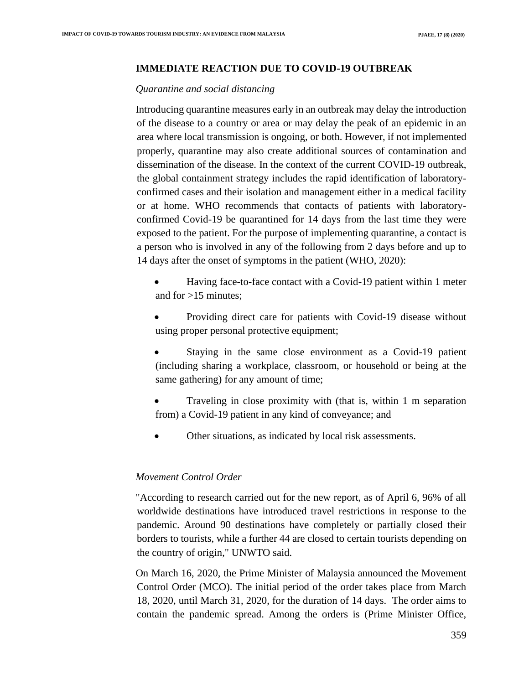### **IMMEDIATE REACTION DUE TO COVID-19 OUTBREAK**

#### *Quarantine and social distancing*

Introducing quarantine measures early in an outbreak may delay the introduction of the disease to a country or area or may delay the peak of an epidemic in an area where local transmission is ongoing, or both. However, if not implemented properly, quarantine may also create additional sources of contamination and dissemination of the disease. In the context of the current COVID-19 outbreak, the global containment strategy includes the rapid identification of laboratoryconfirmed cases and their isolation and management either in a medical facility or at home. WHO recommends that contacts of patients with laboratoryconfirmed Covid-19 be quarantined for 14 days from the last time they were exposed to the patient. For the purpose of implementing quarantine, a contact is a person who is involved in any of the following from 2 days before and up to 14 days after the onset of symptoms in the patient (WHO, 2020):

- Having face-to-face contact with a Covid-19 patient within 1 meter and for >15 minutes;
- Providing direct care for patients with Covid-19 disease without using proper personal protective equipment;
- Staying in the same close environment as a Covid-19 patient (including sharing a workplace, classroom, or household or being at the same gathering) for any amount of time;
- Traveling in close proximity with (that is, within 1 m separation from) a Covid-19 patient in any kind of conveyance; and
- Other situations, as indicated by local risk assessments.

### *Movement Control Order*

"According to research carried out for the new report, as of April 6, 96% of all worldwide destinations have introduced travel restrictions in response to the pandemic. Around 90 destinations have completely or partially closed their borders to tourists, while a further 44 are closed to certain tourists depending on the country of origin," UNWTO said.

On March 16, 2020, the Prime Minister of Malaysia announced the Movement Control Order (MCO). The initial period of the order takes place from March 18, 2020, until March 31, 2020, for the duration of 14 days. The order aims to contain the pandemic spread. Among the orders is (Prime Minister Office,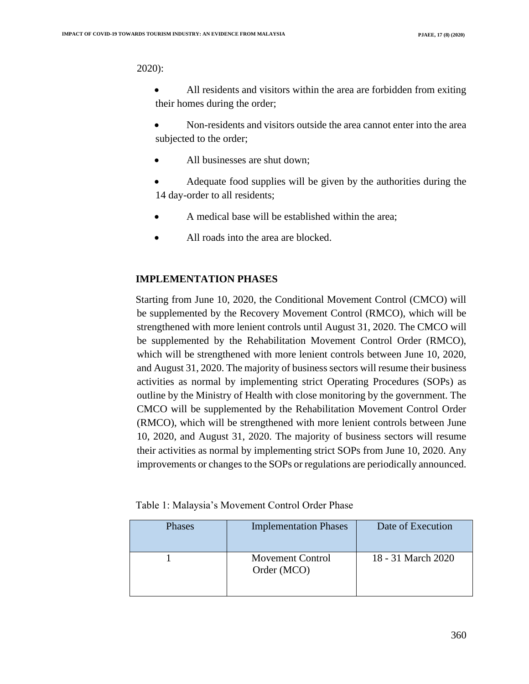#### 2020):

• All residents and visitors within the area are forbidden from exiting their homes during the order;

• Non-residents and visitors outside the area cannot enter into the area subjected to the order;

- All businesses are shut down;
- Adequate food supplies will be given by the authorities during the 14 day-order to all residents;
- A medical base will be established within the area;
- All roads into the area are blocked.

### **IMPLEMENTATION PHASES**

Starting from June 10, 2020, the Conditional Movement Control (CMCO) will be supplemented by the Recovery Movement Control (RMCO), which will be strengthened with more lenient controls until August 31, 2020. The CMCO will be supplemented by the Rehabilitation Movement Control Order (RMCO), which will be strengthened with more lenient controls between June 10, 2020, and August 31, 2020. The majority of business sectors will resume their business activities as normal by implementing strict Operating Procedures (SOPs) as outline by the Ministry of Health with close monitoring by the government. The CMCO will be supplemented by the Rehabilitation Movement Control Order (RMCO), which will be strengthened with more lenient controls between June 10, 2020, and August 31, 2020. The majority of business sectors will resume their activities as normal by implementing strict SOPs from June 10, 2020. Any improvements or changes to the SOPs or regulations are periodically announced.

| Table 1: Malaysia's Movement Control Order Phase |
|--------------------------------------------------|
|--------------------------------------------------|

| Phases | <b>Implementation Phases</b>           | Date of Execution  |
|--------|----------------------------------------|--------------------|
|        | <b>Movement Control</b><br>Order (MCO) | 18 - 31 March 2020 |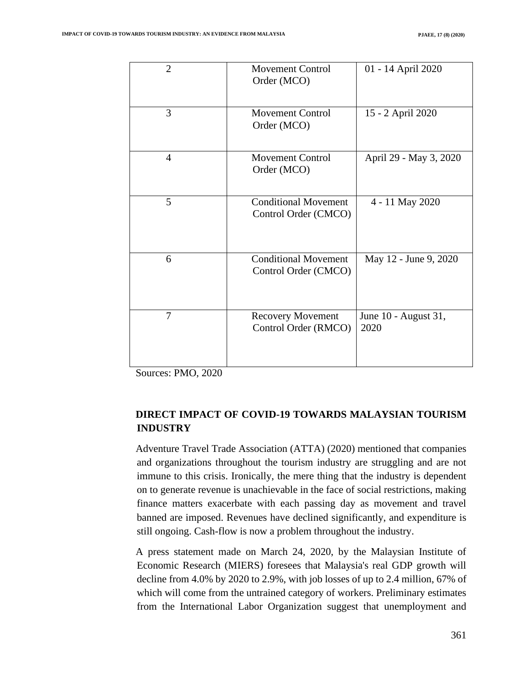| $\overline{2}$ | <b>Movement Control</b><br>Order (MCO)              | 01 - 14 April 2020           |
|----------------|-----------------------------------------------------|------------------------------|
| 3              | Movement Control<br>Order (MCO)                     | 15 - 2 April 2020            |
| $\overline{4}$ | <b>Movement Control</b><br>Order (MCO)              | April 29 - May 3, 2020       |
| 5              | <b>Conditional Movement</b><br>Control Order (CMCO) | 4 - 11 May 2020              |
| 6              | <b>Conditional Movement</b><br>Control Order (CMCO) | May 12 - June 9, 2020        |
| $\overline{7}$ | <b>Recovery Movement</b><br>Control Order (RMCO)    | June 10 - August 31,<br>2020 |

Sources: PMO, 2020

## **DIRECT IMPACT OF COVID-19 TOWARDS MALAYSIAN TOURISM INDUSTRY**

Adventure Travel Trade Association (ATTA) (2020) mentioned that companies and organizations throughout the tourism industry are struggling and are not immune to this crisis. Ironically, the mere thing that the industry is dependent on to generate revenue is unachievable in the face of social restrictions, making finance matters exacerbate with each passing day as movement and travel banned are imposed. Revenues have declined significantly, and expenditure is still ongoing. Cash-flow is now a problem throughout the industry.

A press statement made on March 24, 2020, by the Malaysian Institute of Economic Research (MIERS) foresees that Malaysia's real GDP growth will decline from 4.0% by 2020 to 2.9%, with job losses of up to 2.4 million, 67% of which will come from the untrained category of workers. Preliminary estimates from the International Labor Organization suggest that unemployment and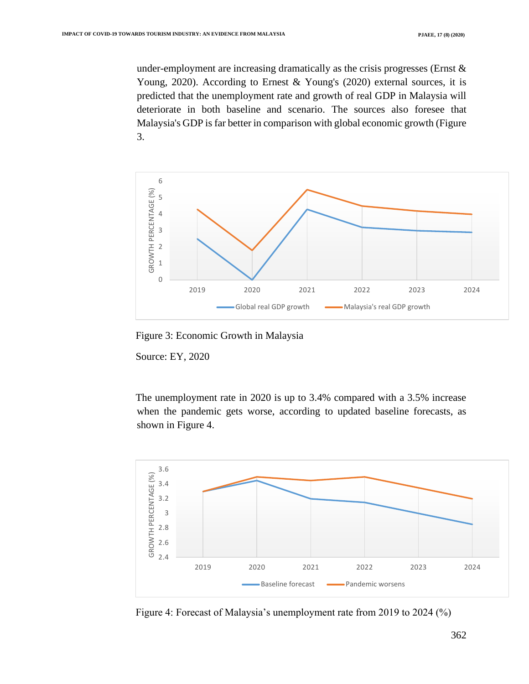under-employment are increasing dramatically as the crisis progresses (Ernst  $\&$ Young, 2020). According to Ernest & Young's (2020) external sources, it is predicted that the unemployment rate and growth of real GDP in Malaysia will deteriorate in both baseline and scenario. The sources also foresee that Malaysia's GDP is far better in comparison with global economic growth (Figure 3.



Figure 3: Economic Growth in Malaysia

Source: EY, 2020

The unemployment rate in 2020 is up to 3.4% compared with a 3.5% increase when the pandemic gets worse, according to updated baseline forecasts, as shown in Figure 4.



Figure 4: Forecast of Malaysia's unemployment rate from 2019 to 2024 (%)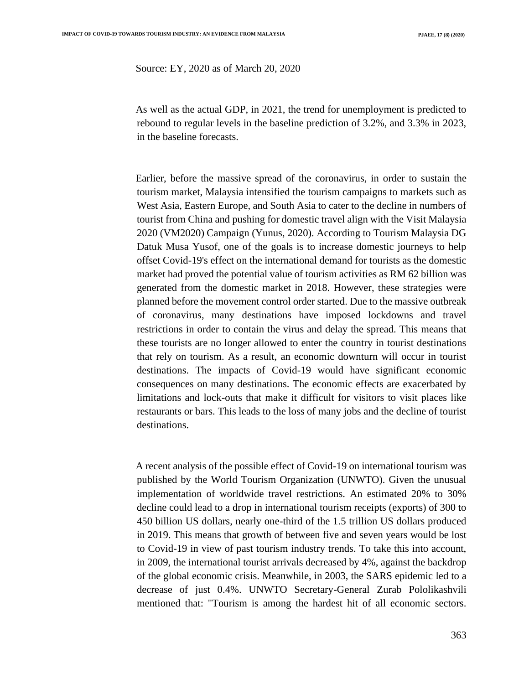Source: EY, 2020 as of March 20, 2020

As well as the actual GDP, in 2021, the trend for unemployment is predicted to rebound to regular levels in the baseline prediction of 3.2%, and 3.3% in 2023, in the baseline forecasts.

Earlier, before the massive spread of the coronavirus, in order to sustain the tourism market, Malaysia intensified the tourism campaigns to markets such as West Asia, Eastern Europe, and South Asia to cater to the decline in numbers of tourist from China and pushing for domestic travel align with the Visit Malaysia 2020 (VM2020) Campaign (Yunus, 2020). According to Tourism Malaysia DG Datuk Musa Yusof, one of the goals is to increase domestic journeys to help offset Covid-19's effect on the international demand for tourists as the domestic market had proved the potential value of tourism activities as RM 62 billion was generated from the domestic market in 2018. However, these strategies were planned before the movement control order started. Due to the massive outbreak of coronavirus, many destinations have imposed lockdowns and travel restrictions in order to contain the virus and delay the spread. This means that these tourists are no longer allowed to enter the country in tourist destinations that rely on tourism. As a result, an economic downturn will occur in tourist destinations. The impacts of Covid-19 would have significant economic consequences on many destinations. The economic effects are exacerbated by limitations and lock-outs that make it difficult for visitors to visit places like restaurants or bars. This leads to the loss of many jobs and the decline of tourist destinations.

A recent analysis of the possible effect of Covid-19 on international tourism was published by the World Tourism Organization (UNWTO). Given the unusual implementation of worldwide travel restrictions. An estimated 20% to 30% decline could lead to a drop in international tourism receipts (exports) of 300 to 450 billion US dollars, nearly one-third of the 1.5 trillion US dollars produced in 2019. This means that growth of between five and seven years would be lost to Covid-19 in view of past tourism industry trends. To take this into account, in 2009, the international tourist arrivals decreased by 4%, against the backdrop of the global economic crisis. Meanwhile, in 2003, the SARS epidemic led to a decrease of just 0.4%. UNWTO Secretary-General Zurab Pololikashvili mentioned that: "Tourism is among the hardest hit of all economic sectors.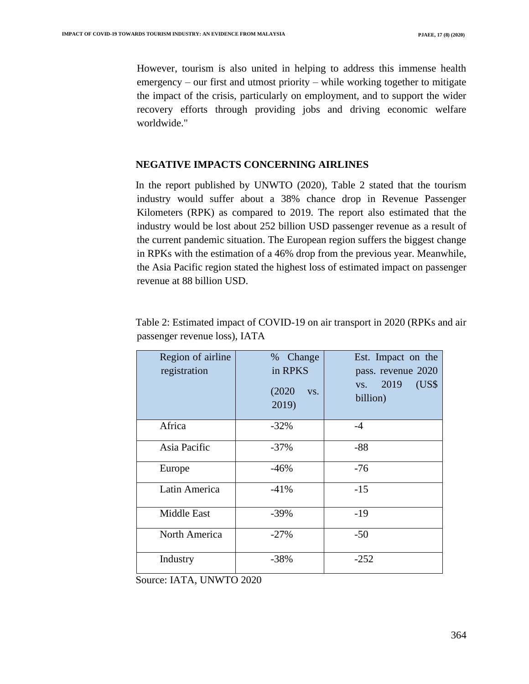However, tourism is also united in helping to address this immense health emergency – our first and utmost priority – while working together to mitigate the impact of the crisis, particularly on employment, and to support the wider recovery efforts through providing jobs and driving economic welfare worldwide."

#### **NEGATIVE IMPACTS CONCERNING AIRLINES**

In the report published by UNWTO (2020), Table 2 stated that the tourism industry would suffer about a 38% chance drop in Revenue Passenger Kilometers (RPK) as compared to 2019. The report also estimated that the industry would be lost about 252 billion USD passenger revenue as a result of the current pandemic situation. The European region suffers the biggest change in RPKs with the estimation of a 46% drop from the previous year. Meanwhile, the Asia Pacific region stated the highest loss of estimated impact on passenger revenue at 88 billion USD.

| Region of airline<br>registration | % Change<br>in RPKS<br>(2020)<br>VS.<br>2019) | Est. Impact on the<br>pass. revenue 2020<br>(US\$<br>2019<br>VS.<br>billion) |
|-----------------------------------|-----------------------------------------------|------------------------------------------------------------------------------|
| Africa                            | $-32\%$                                       | $-4$                                                                         |
| Asia Pacific                      | $-37\%$                                       | $-88$                                                                        |
| Europe                            | $-46%$                                        | $-76$                                                                        |
| Latin America                     | $-41%$                                        | $-15$                                                                        |
| <b>Middle East</b>                | $-39\%$                                       | $-19$                                                                        |
| North America                     | $-27%$                                        | $-50$                                                                        |
| Industry                          | $-38%$                                        | $-252$                                                                       |

Table 2: Estimated impact of COVID-19 on air transport in 2020 (RPKs and air passenger revenue loss), IATA

Source: IATA, UNWTO 2020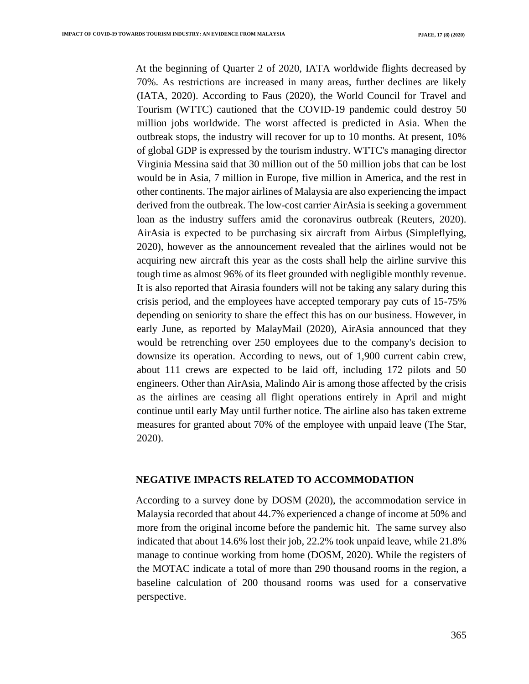At the beginning of Quarter 2 of 2020, IATA worldwide flights decreased by 70%. As restrictions are increased in many areas, further declines are likely (IATA, 2020). According to Faus (2020), the World Council for Travel and Tourism (WTTC) cautioned that the COVID-19 pandemic could destroy 50 million jobs worldwide. The worst affected is predicted in Asia. When the outbreak stops, the industry will recover for up to 10 months. At present, 10% of global GDP is expressed by the tourism industry. WTTC's managing director Virginia Messina said that 30 million out of the 50 million jobs that can be lost would be in Asia, 7 million in Europe, five million in America, and the rest in other continents. The major airlines of Malaysia are also experiencing the impact derived from the outbreak. The low-cost carrier AirAsia is seeking a government loan as the industry suffers amid the coronavirus outbreak (Reuters, 2020). AirAsia is expected to be purchasing six aircraft from Airbus (Simpleflying, 2020), however as the announcement revealed that the airlines would not be acquiring new aircraft this year as the costs shall help the airline survive this tough time as almost 96% of its fleet grounded with negligible monthly revenue. It is also reported that Airasia founders will not be taking any salary during this crisis period, and the employees have accepted temporary pay cuts of 15-75% depending on seniority to share the effect this has on our business. However, in early June, as reported by MalayMail (2020), AirAsia announced that they would be retrenching over 250 employees due to the company's decision to downsize its operation. According to news, out of 1,900 current cabin crew, about 111 crews are expected to be laid off, including 172 pilots and 50 engineers. Other than AirAsia, Malindo Air is among those affected by the crisis as the airlines are ceasing all flight operations entirely in April and might continue until early May until further notice. The airline also has taken extreme measures for granted about 70% of the employee with unpaid leave (The Star, 2020).

#### **NEGATIVE IMPACTS RELATED TO ACCOMMODATION**

According to a survey done by DOSM (2020), the accommodation service in Malaysia recorded that about 44.7% experienced a change of income at 50% and more from the original income before the pandemic hit. The same survey also indicated that about 14.6% lost their job, 22.2% took unpaid leave, while 21.8% manage to continue working from home (DOSM, 2020). While the registers of the MOTAC indicate a total of more than 290 thousand rooms in the region, a baseline calculation of 200 thousand rooms was used for a conservative perspective.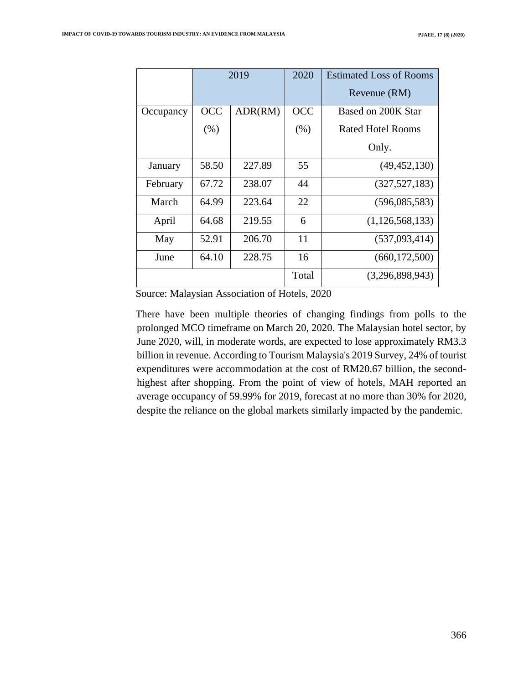|           | 2019       |         | 2020       | <b>Estimated Loss of Rooms</b><br>Revenue (RM) |
|-----------|------------|---------|------------|------------------------------------------------|
|           |            |         |            |                                                |
| Occupancy | <b>OCC</b> | ADR(RM) | <b>OCC</b> | Based on 200K Star                             |
|           | (% )       |         | (% )       | <b>Rated Hotel Rooms</b>                       |
|           |            |         |            | Only.                                          |
| January   | 58.50      | 227.89  | 55         | (49, 452, 130)                                 |
| February  | 67.72      | 238.07  | 44         | (327, 527, 183)                                |
| March     | 64.99      | 223.64  | 22         | (596,085,583)                                  |
| April     | 64.68      | 219.55  | 6          | (1,126,568,133)                                |
| May       | 52.91      | 206.70  | 11         | (537,093,414)                                  |
| June      | 64.10      | 228.75  | 16         | (660, 172, 500)                                |
|           |            |         | Total      | (3,296,898,943)                                |

Source: Malaysian Association of Hotels, 2020

There have been multiple theories of changing findings from polls to the prolonged MCO timeframe on March 20, 2020. The Malaysian hotel sector, by June 2020, will, in moderate words, are expected to lose approximately RM3.3 billion in revenue. According to Tourism Malaysia's 2019 Survey, 24% of tourist expenditures were accommodation at the cost of RM20.67 billion, the secondhighest after shopping. From the point of view of hotels, MAH reported an average occupancy of 59.99% for 2019, forecast at no more than 30% for 2020, despite the reliance on the global markets similarly impacted by the pandemic.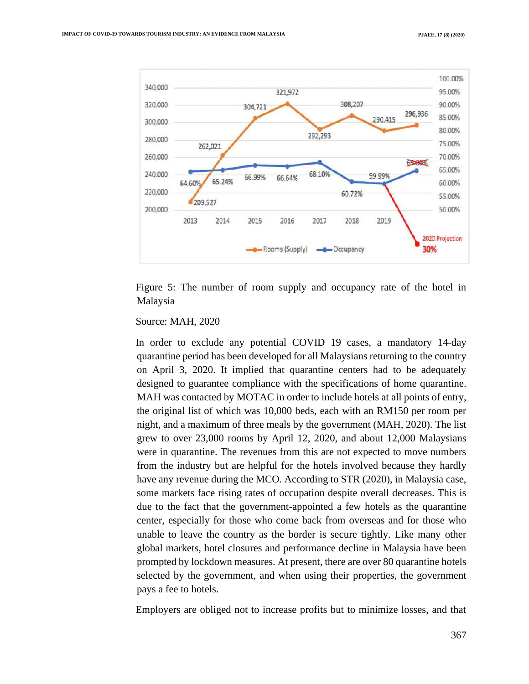

Figure 5: The number of room supply and occupancy rate of the hotel in Malaysia

#### Source: MAH, 2020

In order to exclude any potential COVID 19 cases, a mandatory 14-day quarantine period has been developed for all Malaysians returning to the country on April 3, 2020. It implied that quarantine centers had to be adequately designed to guarantee compliance with the specifications of home quarantine. MAH was contacted by MOTAC in order to include hotels at all points of entry, the original list of which was 10,000 beds, each with an RM150 per room per night, and a maximum of three meals by the government (MAH, 2020). The list grew to over 23,000 rooms by April 12, 2020, and about 12,000 Malaysians were in quarantine. The revenues from this are not expected to move numbers from the industry but are helpful for the hotels involved because they hardly have any revenue during the MCO. According to STR (2020), in Malaysia case, some markets face rising rates of occupation despite overall decreases. This is due to the fact that the government-appointed a few hotels as the quarantine center, especially for those who come back from overseas and for those who unable to leave the country as the border is secure tightly. Like many other global markets, hotel closures and performance decline in Malaysia have been prompted by lockdown measures. At present, there are over 80 quarantine hotels selected by the government, and when using their properties, the government pays a fee to hotels.

Employers are obliged not to increase profits but to minimize losses, and that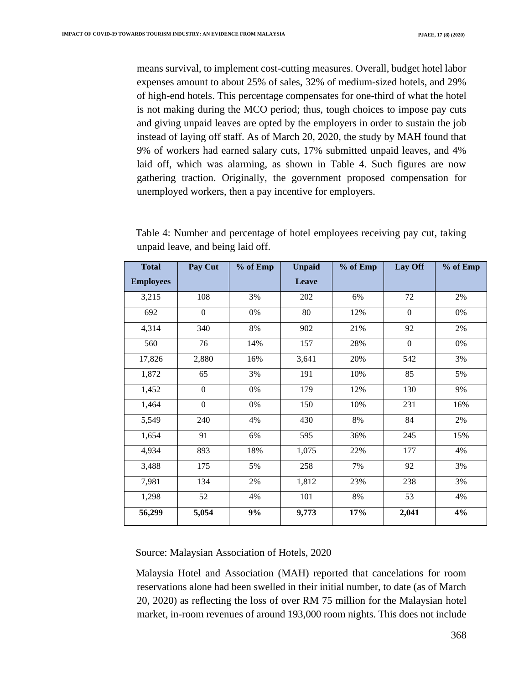means survival, to implement cost-cutting measures. Overall, budget hotel labor expenses amount to about 25% of sales, 32% of medium-sized hotels, and 29% of high-end hotels. This percentage compensates for one-third of what the hotel is not making during the MCO period; thus, tough choices to impose pay cuts and giving unpaid leaves are opted by the employers in order to sustain the job instead of laying off staff. As of March 20, 2020, the study by MAH found that 9% of workers had earned salary cuts, 17% submitted unpaid leaves, and 4% laid off, which was alarming, as shown in Table 4. Such figures are now gathering traction. Originally, the government proposed compensation for unemployed workers, then a pay incentive for employers.

| <b>Total</b>     | Pay Cut      | % of Emp | <b>Unpaid</b> | % of Emp | Lay Off          | % of Emp |
|------------------|--------------|----------|---------------|----------|------------------|----------|
| <b>Employees</b> |              |          | Leave         |          |                  |          |
| 3,215            | 108          | 3%       | 202           | 6%       | 72               | 2%       |
| 692              | $\mathbf{0}$ | 0%       | 80            | 12%      | $\Omega$         | 0%       |
| 4,314            | 340          | 8%       | 902           | $21\%$   | 92               | 2%       |
| 560              | 76           | 14%      | 157           | 28%      | $\boldsymbol{0}$ | 0%       |
| 17,826           | 2,880        | 16%      | 3,641         | 20%      | 542              | 3%       |
| 1,872            | 65           | 3%       | 191           | 10%      | 85               | 5%       |
| 1,452            | $\mathbf{0}$ | 0%       | 179           | 12%      | 130              | 9%       |
| 1,464            | $\mathbf{0}$ | 0%       | 150           | 10%      | 231              | 16%      |
| 5,549            | 240          | 4%       | 430           | 8%       | 84               | 2%       |
| 1,654            | 91           | 6%       | 595           | 36%      | 245              | 15%      |
| 4,934            | 893          | 18%      | 1,075         | 22%      | 177              | 4%       |
| 3,488            | 175          | 5%       | 258           | 7%       | 92               | 3%       |
| 7,981            | 134          | 2%       | 1,812         | 23%      | 238              | 3%       |
| 1,298            | 52           | 4%       | 101           | $8\%$    | 53               | 4%       |
| 56,299           | 5,054        | 9%       | 9,773         | 17%      | 2,041            | 4%       |

Table 4: Number and percentage of hotel employees receiving pay cut, taking unpaid leave, and being laid off.

Source: Malaysian Association of Hotels, 2020

Malaysia Hotel and Association (MAH) reported that cancelations for room reservations alone had been swelled in their initial number, to date (as of March 20, 2020) as reflecting the loss of over RM 75 million for the Malaysian hotel market, in-room revenues of around 193,000 room nights. This does not include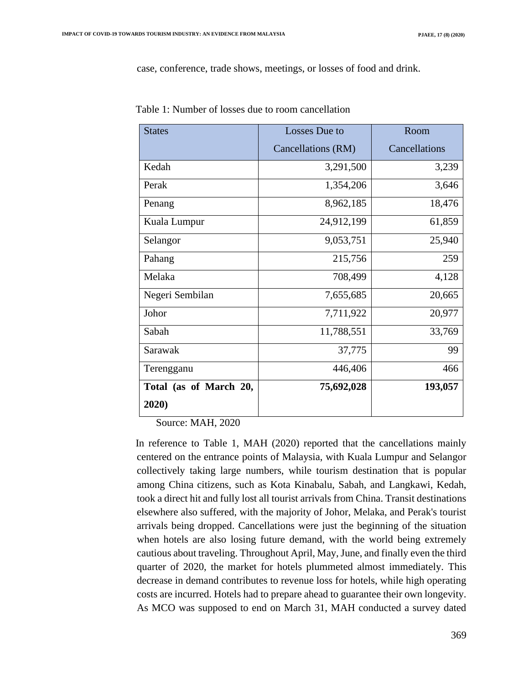case, conference, trade shows, meetings, or losses of food and drink.

| <b>States</b>          | Losses Due to      | Room          |
|------------------------|--------------------|---------------|
|                        | Cancellations (RM) | Cancellations |
| Kedah                  | 3,291,500          | 3,239         |
| Perak                  | 1,354,206          | 3,646         |
| Penang                 | 8,962,185          | 18,476        |
| Kuala Lumpur           | 24,912,199         | 61,859        |
| Selangor               | 9,053,751          | 25,940        |
| Pahang                 | 215,756            | 259           |
| Melaka                 | 708,499            | 4,128         |
| Negeri Sembilan        | 7,655,685          | 20,665        |
| Johor                  | 7,711,922          | 20,977        |
| Sabah                  | 11,788,551         | 33,769        |
| Sarawak                | 37,775             | 99            |
| Terengganu             | 446,406            | 466           |
| Total (as of March 20, | 75,692,028         | 193,057       |
| 2020)                  |                    |               |

Table 1: Number of losses due to room cancellation

Source: MAH, 2020

In reference to Table 1, MAH (2020) reported that the cancellations mainly centered on the entrance points of Malaysia, with Kuala Lumpur and Selangor collectively taking large numbers, while tourism destination that is popular among China citizens, such as Kota Kinabalu, Sabah, and Langkawi, Kedah, took a direct hit and fully lost all tourist arrivals from China. Transit destinations elsewhere also suffered, with the majority of Johor, Melaka, and Perak's tourist arrivals being dropped. Cancellations were just the beginning of the situation when hotels are also losing future demand, with the world being extremely cautious about traveling. Throughout April, May, June, and finally even the third quarter of 2020, the market for hotels plummeted almost immediately. This decrease in demand contributes to revenue loss for hotels, while high operating costs are incurred. Hotels had to prepare ahead to guarantee their own longevity. As MCO was supposed to end on March 31, MAH conducted a survey dated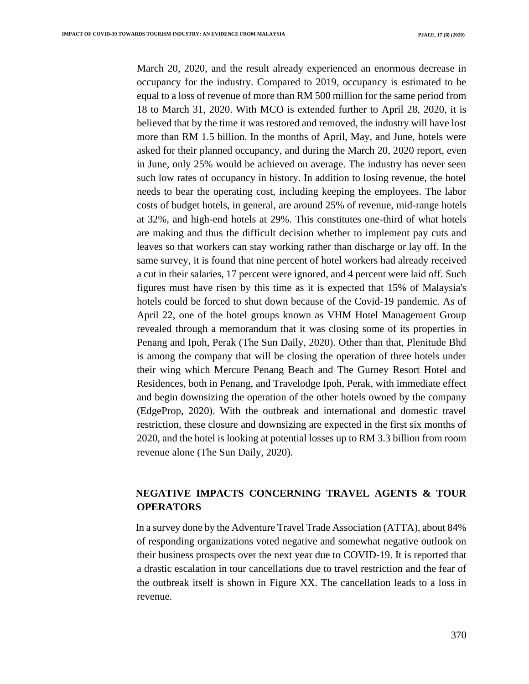March 20, 2020, and the result already experienced an enormous decrease in occupancy for the industry. Compared to 2019, occupancy is estimated to be equal to a loss of revenue of more than RM 500 million for the same period from 18 to March 31, 2020. With MCO is extended further to April 28, 2020, it is believed that by the time it was restored and removed, the industry will have lost more than RM 1.5 billion. In the months of April, May, and June, hotels were asked for their planned occupancy, and during the March 20, 2020 report, even in June, only 25% would be achieved on average. The industry has never seen such low rates of occupancy in history. In addition to losing revenue, the hotel needs to bear the operating cost, including keeping the employees. The labor costs of budget hotels, in general, are around 25% of revenue, mid-range hotels at 32%, and high-end hotels at 29%. This constitutes one-third of what hotels are making and thus the difficult decision whether to implement pay cuts and leaves so that workers can stay working rather than discharge or lay off. In the same survey, it is found that nine percent of hotel workers had already received a cut in their salaries, 17 percent were ignored, and 4 percent were laid off. Such figures must have risen by this time as it is expected that 15% of Malaysia's hotels could be forced to shut down because of the Covid-19 pandemic. As of April 22, one of the hotel groups known as VHM Hotel Management Group revealed through a memorandum that it was closing some of its properties in Penang and Ipoh, Perak (The Sun Daily, 2020). Other than that, Plenitude Bhd is among the company that will be closing the operation of three hotels under their wing which Mercure Penang Beach and The Gurney Resort Hotel and Residences, both in Penang, and Travelodge Ipoh, Perak, with immediate effect and begin downsizing the operation of the other hotels owned by the company (EdgeProp, 2020). With the outbreak and international and domestic travel restriction, these closure and downsizing are expected in the first six months of 2020, and the hotel is looking at potential losses up to RM 3.3 billion from room revenue alone (The Sun Daily, 2020).

## **NEGATIVE IMPACTS CONCERNING TRAVEL AGENTS & TOUR OPERATORS**

In a survey done by the Adventure Travel Trade Association (ATTA), about 84% of responding organizations voted negative and somewhat negative outlook on their business prospects over the next year due to COVID-19. It is reported that a drastic escalation in tour cancellations due to travel restriction and the fear of the outbreak itself is shown in Figure XX. The cancellation leads to a loss in revenue.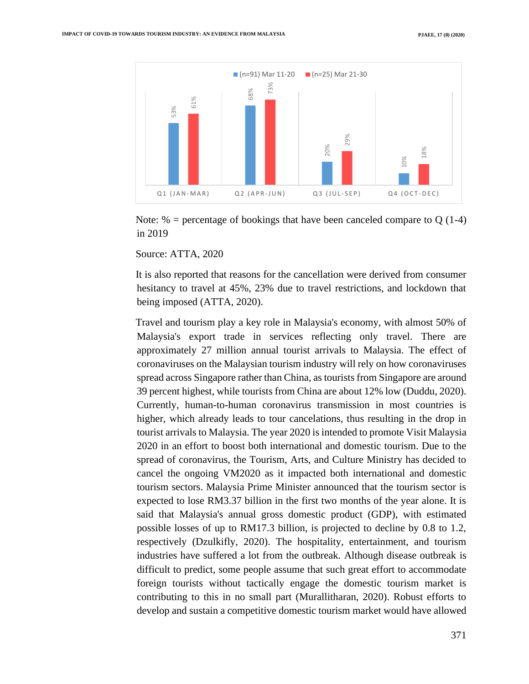

Note:  $%$  = percentage of bookings that have been canceled compare to Q (1-4) in 2019

Source: ATTA, 2020

It is also reported that reasons for the cancellation were derived from consumer hesitancy to travel at 45%, 23% due to travel restrictions, and lockdown that being imposed (ATTA, 2020).

Travel and tourism play a key role in Malaysia's economy, with almost 50% of Malaysia's export trade in services reflecting only travel. There are approximately 27 million annual tourist arrivals to Malaysia. The effect of coronaviruses on the Malaysian tourism industry will rely on how coronaviruses spread across Singapore rather than China, as tourists from Singapore are around 39 percent highest, while tourists from China are about 12% low (Duddu, 2020). Currently, human-to-human coronavirus transmission in most countries is higher, which already leads to tour cancelations, thus resulting in the drop in tourist arrivals to Malaysia. The year 2020 is intended to promote Visit Malaysia 2020 in an effort to boost both international and domestic tourism. Due to the spread of coronavirus, the Tourism, Arts, and Culture Ministry has decided to cancel the ongoing VM2020 as it impacted both international and domestic tourism sectors. Malaysia Prime Minister announced that the tourism sector is expected to lose RM3.37 billion in the first two months of the year alone. It is said that Malaysia's annual gross domestic product (GDP), with estimated possible losses of up to RM17.3 billion, is projected to decline by 0.8 to 1.2, respectively (Dzulkifly, 2020). The hospitality, entertainment, and tourism industries have suffered a lot from the outbreak. Although disease outbreak is difficult to predict, some people assume that such great effort to accommodate foreign tourists without tactically engage the domestic tourism market is contributing to this in no small part (Murallitharan, 2020). Robust efforts to **EXECUTE ASSESS AND ASSESS AND A CONFIDENTIFY CONSULTS AND A CONFIDENT CONFIDENTIFY (SOFT) SOUCES AND A CONFIDENTIFY (SOFT) SOUCES AND A CONFIDENTIFY (SOFT) SOUCES AND A CONFIDENTIFY (SOFT) SOUCES AND A CONFIDENTIFY (SOFT**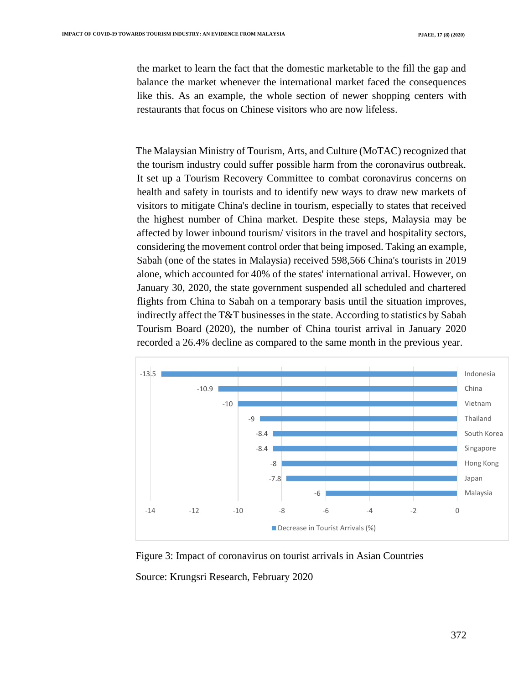the market to learn the fact that the domestic marketable to the fill the gap and balance the market whenever the international market faced the consequences like this. As an example, the whole section of newer shopping centers with restaurants that focus on Chinese visitors who are now lifeless.

The Malaysian Ministry of Tourism, Arts, and Culture (MoTAC) recognized that the tourism industry could suffer possible harm from the coronavirus outbreak. It set up a Tourism Recovery Committee to combat coronavirus concerns on health and safety in tourists and to identify new ways to draw new markets of visitors to mitigate China's decline in tourism, especially to states that received the highest number of China market. Despite these steps, Malaysia may be affected by lower inbound tourism/ visitors in the travel and hospitality sectors, considering the movement control order that being imposed. Taking an example, Sabah (one of the states in Malaysia) received 598,566 China's tourists in 2019 alone, which accounted for 40% of the states' international arrival. However, on January 30, 2020, the state government suspended all scheduled and chartered flights from China to Sabah on a temporary basis until the situation improves, indirectly affect the T&T businesses in the state. According to statistics by Sabah Tourism Board (2020), the number of China tourist arrival in January 2020 recorded a 26.4% decline as compared to the same month in the previous year.



Figure 3: Impact of coronavirus on tourist arrivals in Asian Countries

Source: Krungsri Research, February 2020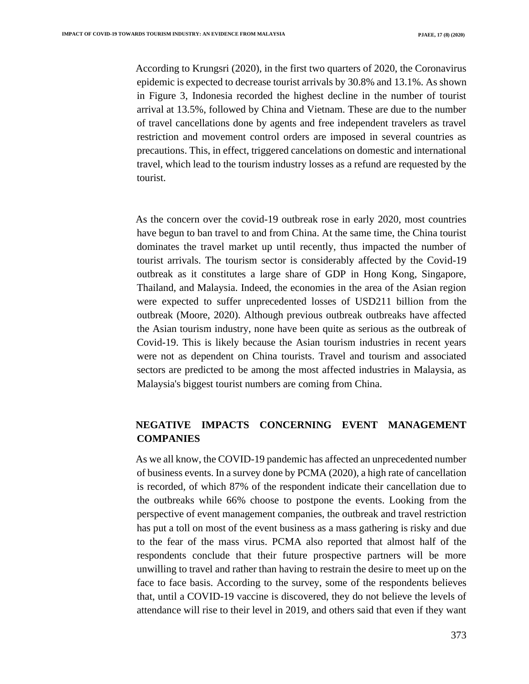According to Krungsri (2020), in the first two quarters of 2020, the Coronavirus epidemic is expected to decrease tourist arrivals by 30.8% and 13.1%. As shown in Figure 3, Indonesia recorded the highest decline in the number of tourist arrival at 13.5%, followed by China and Vietnam. These are due to the number of travel cancellations done by agents and free independent travelers as travel restriction and movement control orders are imposed in several countries as precautions. This, in effect, triggered cancelations on domestic and international travel, which lead to the tourism industry losses as a refund are requested by the tourist.

As the concern over the covid-19 outbreak rose in early 2020, most countries have begun to ban travel to and from China. At the same time, the China tourist dominates the travel market up until recently, thus impacted the number of tourist arrivals. The tourism sector is considerably affected by the Covid-19 outbreak as it constitutes a large share of GDP in Hong Kong, Singapore, Thailand, and Malaysia. Indeed, the economies in the area of the Asian region were expected to suffer unprecedented losses of USD211 billion from the outbreak (Moore, 2020). Although previous outbreak outbreaks have affected the Asian tourism industry, none have been quite as serious as the outbreak of Covid-19. This is likely because the Asian tourism industries in recent years were not as dependent on China tourists. Travel and tourism and associated sectors are predicted to be among the most affected industries in Malaysia, as Malaysia's biggest tourist numbers are coming from China.

## **NEGATIVE IMPACTS CONCERNING EVENT MANAGEMENT COMPANIES**

As we all know, the COVID-19 pandemic has affected an unprecedented number of business events. In a survey done by PCMA (2020), a high rate of cancellation is recorded, of which 87% of the respondent indicate their cancellation due to the outbreaks while 66% choose to postpone the events. Looking from the perspective of event management companies, the outbreak and travel restriction has put a toll on most of the event business as a mass gathering is risky and due to the fear of the mass virus. PCMA also reported that almost half of the respondents conclude that their future prospective partners will be more unwilling to travel and rather than having to restrain the desire to meet up on the face to face basis. According to the survey, some of the respondents believes that, until a COVID-19 vaccine is discovered, they do not believe the levels of attendance will rise to their level in 2019, and others said that even if they want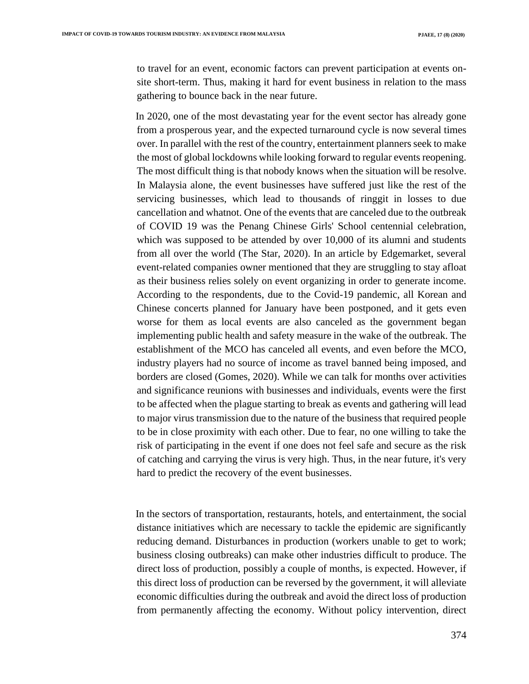to travel for an event, economic factors can prevent participation at events onsite short-term. Thus, making it hard for event business in relation to the mass gathering to bounce back in the near future.

In 2020, one of the most devastating year for the event sector has already gone from a prosperous year, and the expected turnaround cycle is now several times over. In parallel with the rest of the country, entertainment planners seek to make the most of global lockdowns while looking forward to regular events reopening. The most difficult thing is that nobody knows when the situation will be resolve. In Malaysia alone, the event businesses have suffered just like the rest of the servicing businesses, which lead to thousands of ringgit in losses to due cancellation and whatnot. One of the events that are canceled due to the outbreak of COVID 19 was the Penang Chinese Girls' School centennial celebration, which was supposed to be attended by over 10,000 of its alumni and students from all over the world (The Star, 2020). In an article by Edgemarket, several event-related companies owner mentioned that they are struggling to stay afloat as their business relies solely on event organizing in order to generate income. According to the respondents, due to the Covid-19 pandemic, all Korean and Chinese concerts planned for January have been postponed, and it gets even worse for them as local events are also canceled as the government began implementing public health and safety measure in the wake of the outbreak. The establishment of the MCO has canceled all events, and even before the MCO, industry players had no source of income as travel banned being imposed, and borders are closed (Gomes, 2020). While we can talk for months over activities and significance reunions with businesses and individuals, events were the first to be affected when the plague starting to break as events and gathering will lead to major virus transmission due to the nature of the business that required people to be in close proximity with each other. Due to fear, no one willing to take the risk of participating in the event if one does not feel safe and secure as the risk of catching and carrying the virus is very high. Thus, in the near future, it's very hard to predict the recovery of the event businesses.

In the sectors of transportation, restaurants, hotels, and entertainment, the social distance initiatives which are necessary to tackle the epidemic are significantly reducing demand. Disturbances in production (workers unable to get to work; business closing outbreaks) can make other industries difficult to produce. The direct loss of production, possibly a couple of months, is expected. However, if this direct loss of production can be reversed by the government, it will alleviate economic difficulties during the outbreak and avoid the direct loss of production from permanently affecting the economy. Without policy intervention, direct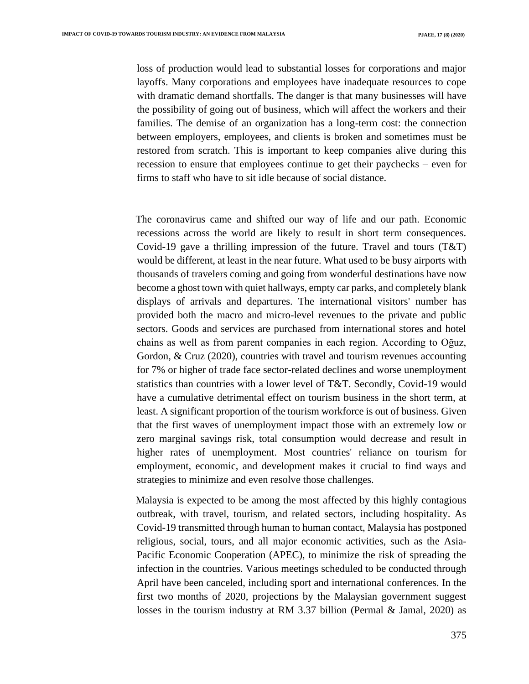loss of production would lead to substantial losses for corporations and major layoffs. Many corporations and employees have inadequate resources to cope with dramatic demand shortfalls. The danger is that many businesses will have the possibility of going out of business, which will affect the workers and their families. The demise of an organization has a long-term cost: the connection between employers, employees, and clients is broken and sometimes must be restored from scratch. This is important to keep companies alive during this recession to ensure that employees continue to get their paychecks – even for firms to staff who have to sit idle because of social distance.

The coronavirus came and shifted our way of life and our path. Economic recessions across the world are likely to result in short term consequences. Covid-19 gave a thrilling impression of the future. Travel and tours (T&T) would be different, at least in the near future. What used to be busy airports with thousands of travelers coming and going from wonderful destinations have now become a ghost town with quiet hallways, empty car parks, and completely blank displays of arrivals and departures. The international visitors' number has provided both the macro and micro-level revenues to the private and public sectors. Goods and services are purchased from international stores and hotel chains as well as from parent companies in each region. According to Oğuz, Gordon, & Cruz (2020), countries with travel and tourism revenues accounting for 7% or higher of trade face sector-related declines and worse unemployment statistics than countries with a lower level of T&T. Secondly, Covid-19 would have a cumulative detrimental effect on tourism business in the short term, at least. A significant proportion of the tourism workforce is out of business. Given that the first waves of unemployment impact those with an extremely low or zero marginal savings risk, total consumption would decrease and result in higher rates of unemployment. Most countries' reliance on tourism for employment, economic, and development makes it crucial to find ways and strategies to minimize and even resolve those challenges.

Malaysia is expected to be among the most affected by this highly contagious outbreak, with travel, tourism, and related sectors, including hospitality. As Covid-19 transmitted through human to human contact, Malaysia has postponed religious, social, tours, and all major economic activities, such as the Asia-Pacific Economic Cooperation (APEC), to minimize the risk of spreading the infection in the countries. Various meetings scheduled to be conducted through April have been canceled, including sport and international conferences. In the first two months of 2020, projections by the Malaysian government suggest losses in the tourism industry at RM 3.37 billion (Permal & Jamal, 2020) as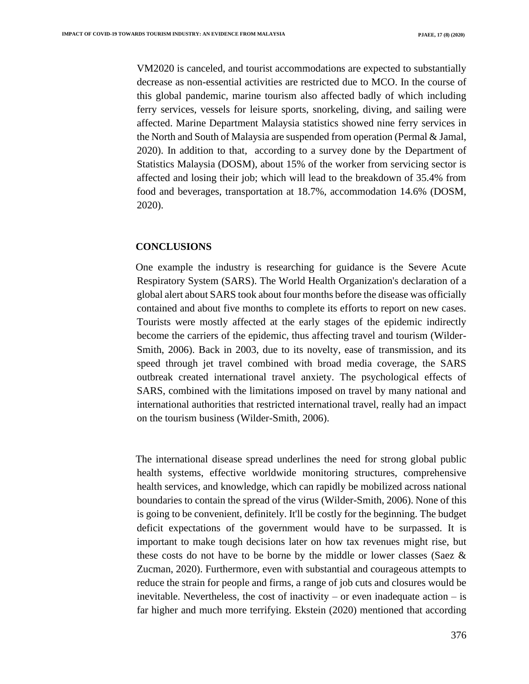VM2020 is canceled, and tourist accommodations are expected to substantially decrease as non-essential activities are restricted due to MCO. In the course of this global pandemic, marine tourism also affected badly of which including ferry services, vessels for leisure sports, snorkeling, diving, and sailing were affected. Marine Department Malaysia statistics showed nine ferry services in the North and South of Malaysia are suspended from operation (Permal & Jamal, 2020). In addition to that, according to a survey done by the Department of Statistics Malaysia (DOSM), about 15% of the worker from servicing sector is affected and losing their job; which will lead to the breakdown of 35.4% from food and beverages, transportation at 18.7%, accommodation 14.6% (DOSM, 2020).

### **CONCLUSIONS**

One example the industry is researching for guidance is the Severe Acute Respiratory System (SARS). The World Health Organization's declaration of a global alert about SARS took about four months before the disease was officially contained and about five months to complete its efforts to report on new cases. Tourists were mostly affected at the early stages of the epidemic indirectly become the carriers of the epidemic, thus affecting travel and tourism (Wilder-Smith, 2006). Back in 2003, due to its novelty, ease of transmission, and its speed through jet travel combined with broad media coverage, the SARS outbreak created international travel anxiety. The psychological effects of SARS, combined with the limitations imposed on travel by many national and international authorities that restricted international travel, really had an impact on the tourism business (Wilder-Smith, 2006).

The international disease spread underlines the need for strong global public health systems, effective worldwide monitoring structures, comprehensive health services, and knowledge, which can rapidly be mobilized across national boundaries to contain the spread of the virus (Wilder-Smith, 2006). None of this is going to be convenient, definitely. It'll be costly for the beginning. The budget deficit expectations of the government would have to be surpassed. It is important to make tough decisions later on how tax revenues might rise, but these costs do not have to be borne by the middle or lower classes (Saez & Zucman, 2020). Furthermore, even with substantial and courageous attempts to reduce the strain for people and firms, a range of job cuts and closures would be inevitable. Nevertheless, the cost of inactivity – or even inadequate action  $-$  is far higher and much more terrifying. Ekstein (2020) mentioned that according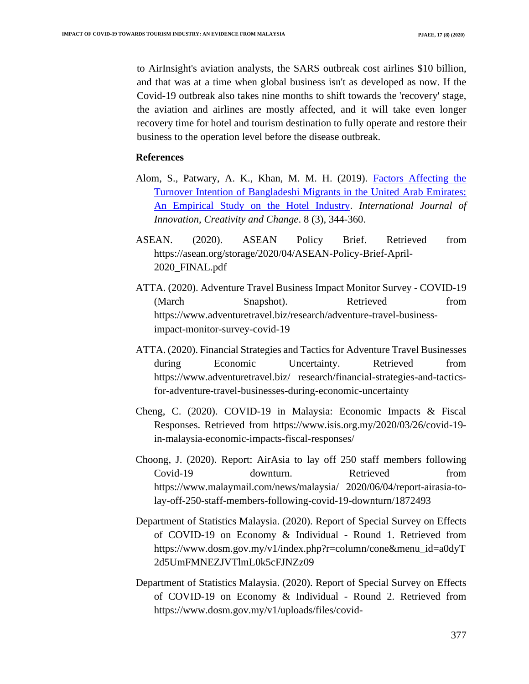to AirInsight's aviation analysts, the SARS outbreak cost airlines \$10 billion, and that was at a time when global business isn't as developed as now. If the Covid-19 outbreak also takes nine months to shift towards the 'recovery' stage, the aviation and airlines are mostly affected, and it will take even longer recovery time for hotel and tourism destination to fully operate and restore their business to the operation level before the disease outbreak.

### **References**

- Alom, S., Patwary, A. K., Khan, M. M. H. (2019). [Factors Affecting the](javascript:void(0))  [Turnover Intention of Bangladeshi Migrants in the United Arab Emirates:](javascript:void(0))  [An Empirical Study on the Hotel Industry.](javascript:void(0)) *International Journal of Innovation, Creativity and Change*. 8 (3), 344-360.
- ASEAN. (2020). ASEAN Policy Brief. Retrieved from https://asean.org/storage/2020/04/ASEAN-Policy-Brief-April-2020\_FINAL.pdf
- ATTA. (2020). Adventure Travel Business Impact Monitor Survey COVID-19 (March Snapshot). Retrieved from https://www.adventuretravel.biz/research/adventure-travel-businessimpact-monitor-survey-covid-19
- ATTA. (2020). Financial Strategies and Tactics for Adventure Travel Businesses during Economic Uncertainty. Retrieved from https://www.adventuretravel.biz/ research/financial-strategies-and-tacticsfor-adventure-travel-businesses-during-economic-uncertainty
- Cheng, C. (2020). COVID-19 in Malaysia: Economic Impacts & Fiscal Responses. Retrieved from https://www.isis.org.my/2020/03/26/covid-19 in-malaysia-economic-impacts-fiscal-responses/
- Choong, J. (2020). Report: AirAsia to lay off 250 staff members following Covid-19 downturn. Retrieved from https://www.malaymail.com/news/malaysia/ 2020/06/04/report-airasia-tolay-off-250-staff-members-following-covid-19-downturn/1872493
- Department of Statistics Malaysia. (2020). Report of Special Survey on Effects of COVID-19 on Economy & Individual - Round 1. Retrieved from https://www.dosm.gov.my/v1/index.php?r=column/cone&menu\_id=a0dyT 2d5UmFMNEZJVTlmL0k5cFJNZz09
- Department of Statistics Malaysia. (2020). Report of Special Survey on Effects of COVID-19 on Economy & Individual - Round 2. Retrieved from https://www.dosm.gov.my/v1/uploads/files/covid-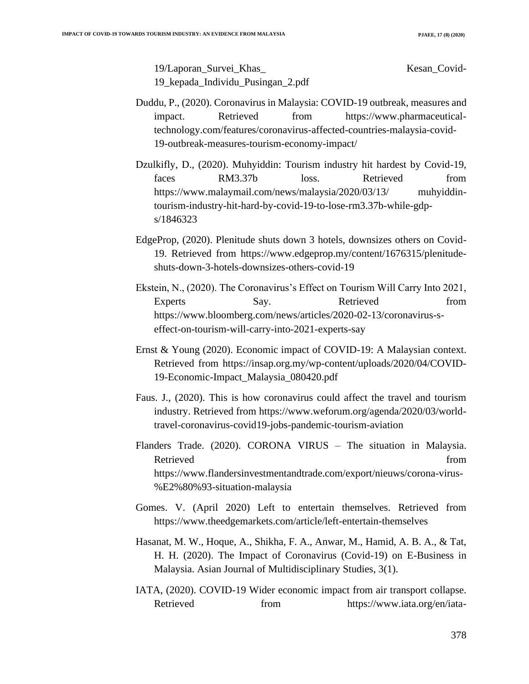19/Laporan\_Survei\_Khas\_ Kesan\_Covid-19\_kepada\_Individu\_Pusingan\_2.pdf

- Duddu, P., (2020). Coronavirus in Malaysia: COVID-19 outbreak, measures and impact. Retrieved from https://www.pharmaceuticaltechnology.com/features/coronavirus-affected-countries-malaysia-covid-19-outbreak-measures-tourism-economy-impact/
- Dzulkifly, D., (2020). Muhyiddin: Tourism industry hit hardest by Covid-19, faces RM3.37b loss. Retrieved from https://www.malaymail.com/news/malaysia/2020/03/13/ muhyiddintourism-industry-hit-hard-by-covid-19-to-lose-rm3.37b-while-gdps/1846323
- EdgeProp, (2020). Plenitude shuts down 3 hotels, downsizes others on Covid-19. Retrieved from https://www.edgeprop.my/content/1676315/plenitudeshuts-down-3-hotels-downsizes-others-covid-19
- Ekstein, N., (2020). The Coronavirus's Effect on Tourism Will Carry Into 2021, Experts Say. Say. Retrieved from https://www.bloomberg.com/news/articles/2020-02-13/coronavirus-seffect-on-tourism-will-carry-into-2021-experts-say
- Ernst & Young (2020). Economic impact of COVID-19: A Malaysian context. Retrieved from https://insap.org.my/wp-content/uploads/2020/04/COVID-19-Economic-Impact\_Malaysia\_080420.pdf
- Faus. J., (2020). This is how coronavirus could affect the travel and tourism industry. Retrieved from https://www.weforum.org/agenda/2020/03/worldtravel-coronavirus-covid19-jobs-pandemic-tourism-aviation
- Flanders Trade. (2020). CORONA VIRUS The situation in Malaysia. Retrieved from the state of the state of the state of the state of the state of the state of the state of the state of the state of the state of the state of the state of the state of the state of the state of the state of https://www.flandersinvestmentandtrade.com/export/nieuws/corona-virus- %E2%80%93-situation-malaysia
- Gomes. V. (April 2020) Left to entertain themselves. Retrieved from https://www.theedgemarkets.com/article/left-entertain-themselves
- Hasanat, M. W., Hoque, A., Shikha, F. A., Anwar, M., Hamid, A. B. A., & Tat, H. H. (2020). The Impact of Coronavirus (Covid-19) on E-Business in Malaysia. Asian Journal of Multidisciplinary Studies, 3(1).
- IATA, (2020). COVID-19 Wider economic impact from air transport collapse. Retrieved from https://www.iata.org/en/iata-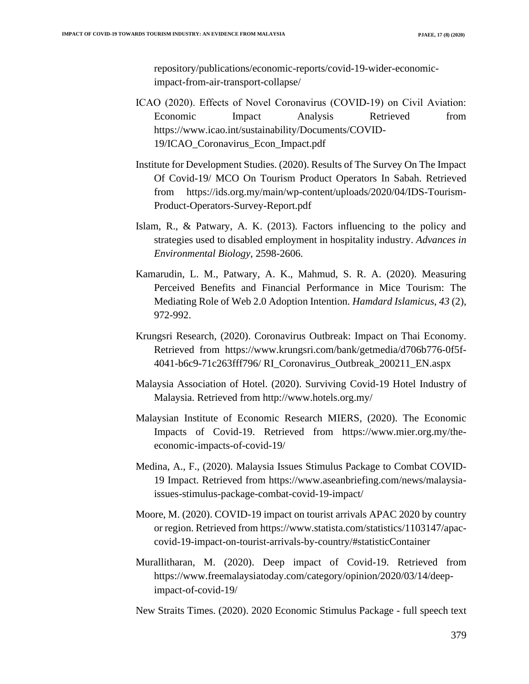repository/publications/economic-reports/covid-19-wider-economicimpact-from-air-transport-collapse/

- ICAO (2020). Effects of Novel Coronavirus (COVID‐19) on Civil Aviation: Economic Impact Analysis Retrieved from https://www.icao.int/sustainability/Documents/COVID-19/ICAO\_Coronavirus\_Econ\_Impact.pdf
- Institute for Development Studies. (2020). Results of The Survey On The Impact Of Covid-19/ MCO On Tourism Product Operators In Sabah. Retrieved from https://ids.org.my/main/wp-content/uploads/2020/04/IDS-Tourism-Product-Operators-Survey-Report.pdf
- Islam, R., & Patwary, A. K. (2013). Factors influencing to the policy and strategies used to disabled employment in hospitality industry. *Advances in Environmental Biology*, 2598-2606.
- Kamarudin, L. M., Patwary, A. K., Mahmud, S. R. A. (2020). Measuring Perceived Benefits and Financial Performance in Mice Tourism: The Mediating Role of Web 2.0 Adoption Intention. *Hamdard Islamicus*, *43* (2), 972-992.
- Krungsri Research, (2020). Coronavirus Outbreak: Impact on Thai Economy. Retrieved from https://www.krungsri.com/bank/getmedia/d706b776-0f5f-4041-b6c9-71c263fff796/ RI\_Coronavirus\_Outbreak\_200211\_EN.aspx
- Malaysia Association of Hotel. (2020). Surviving Covid-19 Hotel Industry of Malaysia. Retrieved from http://www.hotels.org.my/
- Malaysian Institute of Economic Research MIERS, (2020). The Economic Impacts of Covid-19. Retrieved from https://www.mier.org.my/theeconomic-impacts-of-covid-19/
- Medina, A., F., (2020). Malaysia Issues Stimulus Package to Combat COVID-19 Impact. Retrieved from https://www.aseanbriefing.com/news/malaysiaissues-stimulus-package-combat-covid-19-impact/
- Moore, M. (2020). COVID-19 impact on tourist arrivals APAC 2020 by country or region. Retrieved from https://www.statista.com/statistics/1103147/apaccovid-19-impact-on-tourist-arrivals-by-country/#statisticContainer
- Murallitharan, M. (2020). Deep impact of Covid-19. Retrieved from https://www.freemalaysiatoday.com/category/opinion/2020/03/14/deepimpact-of-covid-19/

New Straits Times. (2020). 2020 Economic Stimulus Package - full speech text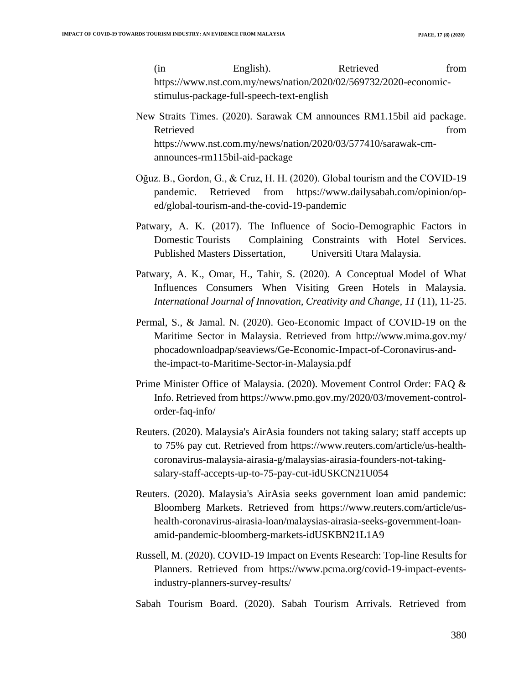(in English). Retrieved from https://www.nst.com.my/news/nation/2020/02/569732/2020-economicstimulus-package-full-speech-text-english

- New Straits Times. (2020). Sarawak CM announces RM1.15bil aid package. Retrieved from the settlement of the settlement of the settlement of the settlement of the settlement of the set https://www.nst.com.my/news/nation/2020/03/577410/sarawak-cmannounces-rm115bil-aid-package
- Oğuz. B., Gordon, G., & Cruz, H. H. (2020). Global tourism and the COVID-19 pandemic. Retrieved from https://www.dailysabah.com/opinion/oped/global-tourism-and-the-covid-19-pandemic
- Patwary, A. K. (2017). The Influence of Socio-Demographic Factors in Domestic Tourists Complaining Constraints with Hotel Services. Published Masters Dissertation, Universiti Utara Malaysia.
- Patwary, A. K., Omar, H., Tahir, S. (2020). A Conceptual Model of What Influences Consumers When Visiting Green Hotels in Malaysia. *International Journal of Innovation, Creativity and Change, 11* (11), 11-25.
- Permal, S., & Jamal. N. (2020). Geo-Economic Impact of COVID-19 on the Maritime Sector in Malaysia. Retrieved from http://www.mima.gov.my/ phocadownloadpap/seaviews/Ge-Economic-Impact-of-Coronavirus-andthe-impact-to-Maritime-Sector-in-Malaysia.pdf
- Prime Minister Office of Malaysia. (2020). Movement Control Order: FAQ & Info. Retrieved from https://www.pmo.gov.my/2020/03/movement-controlorder-faq-info/
- Reuters. (2020). Malaysia's AirAsia founders not taking salary; staff accepts up to 75% pay cut. Retrieved from https://www.reuters.com/article/us-healthcoronavirus-malaysia-airasia-g/malaysias-airasia-founders-not-takingsalary-staff-accepts-up-to-75-pay-cut-idUSKCN21U054
- Reuters. (2020). Malaysia's AirAsia seeks government loan amid pandemic: Bloomberg Markets. Retrieved from https://www.reuters.com/article/ushealth-coronavirus-airasia-loan/malaysias-airasia-seeks-government-loanamid-pandemic-bloomberg-markets-idUSKBN21L1A9
- Russell, M. (2020). COVID-19 Impact on Events Research: Top-line Results for Planners. Retrieved from https://www.pcma.org/covid-19-impact-eventsindustry-planners-survey-results/
- Sabah Tourism Board. (2020). Sabah Tourism Arrivals. Retrieved from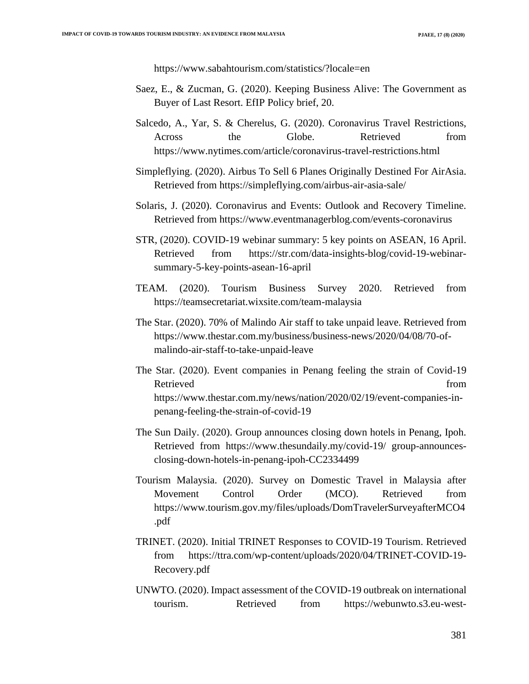https://www.sabahtourism.com/statistics/?locale=en

- Saez, E., & Zucman, G. (2020). Keeping Business Alive: The Government as Buyer of Last Resort. EfIP Policy brief, 20.
- Salcedo, A., Yar, S. & Cherelus, G. (2020). Coronavirus Travel Restrictions, Across the Globe. Retrieved from https://www.nytimes.com/article/coronavirus-travel-restrictions.html
- Simpleflying. (2020). Airbus To Sell 6 Planes Originally Destined For AirAsia. Retrieved from https://simpleflying.com/airbus-air-asia-sale/
- Solaris, J. (2020). Coronavirus and Events: Outlook and Recovery Timeline. Retrieved from https://www.eventmanagerblog.com/events-coronavirus
- STR, (2020). COVID-19 webinar summary: 5 key points on ASEAN, 16 April. Retrieved from https://str.com/data-insights-blog/covid-19-webinarsummary-5-key-points-asean-16-april
- TEAM. (2020). Tourism Business Survey 2020. Retrieved from https://teamsecretariat.wixsite.com/team-malaysia
- The Star. (2020). 70% of Malindo Air staff to take unpaid leave. Retrieved from https://www.thestar.com.my/business/business-news/2020/04/08/70-ofmalindo-air-staff-to-take-unpaid-leave
- The Star. (2020). Event companies in Penang feeling the strain of Covid-19 Retrieved from  $\blacksquare$ https://www.thestar.com.my/news/nation/2020/02/19/event-companies-inpenang-feeling-the-strain-of-covid-19
- The Sun Daily. (2020). Group announces closing down hotels in Penang, Ipoh. Retrieved from https://www.thesundaily.my/covid-19/ group-announcesclosing-down-hotels-in-penang-ipoh-CC2334499
- Tourism Malaysia. (2020). Survey on Domestic Travel in Malaysia after Movement Control Order (MCO). Retrieved from https://www.tourism.gov.my/files/uploads/DomTravelerSurveyafterMCO4 .pdf
- TRINET. (2020). Initial TRINET Responses to COVID-19 Tourism. Retrieved from https://ttra.com/wp-content/uploads/2020/04/TRINET-COVID-19- Recovery.pdf
- UNWTO. (2020). Impact assessment of the COVID-19 outbreak on international tourism. Retrieved from https://webunwto.s3.eu-west-